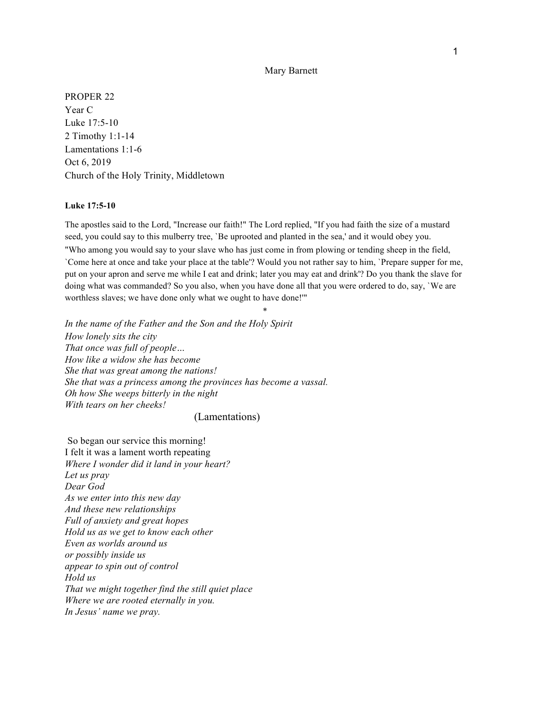## Mary Barnett

PROPER 22 Year C Luke 17:5-10 2 Timothy 1:1-14 Lamentations 1:1-6 Oct 6, 2019 Church of the Holy Trinity, Middletown

## **Luke 17:5-10**

The apostles said to the Lord, "Increase our faith!" The Lord replied, "If you had faith the size of a mustard seed, you could say to this mulberry tree, `Be uprooted and planted in the sea,' and it would obey you. "Who among you would say to your slave who has just come in from plowing or tending sheep in the field, `Come here at once and take your place at the table'? Would you not rather say to him, `Prepare supper for me, put on your apron and serve me while I eat and drink; later you may eat and drink'? Do you thank the slave for doing what was commanded? So you also, when you have done all that you were ordered to do, say, `We are worthless slaves; we have done only what we ought to have done!'"

\*

*In the name of the Father and the Son and the Holy Spirit How lonely sits the city That once was full of people… How like a widow she has become She that was great among the nations! She that was a princess among the provinces has become a vassal. Oh how She weeps bitterly in the night With tears on her cheeks!*

## (Lamentations)

So began our service this morning! I felt it was a lament worth repeating *Where I wonder did it land in your heart? Let us pray Dear God As we enter into this new day And these new relationships Full of anxiety and great hopes Hold us as we get to know each other Even as worlds around us or possibly inside us appear to spin out of control Hold us That we might together find the still quiet place Where we are rooted eternally in you. In Jesus' name we pray.*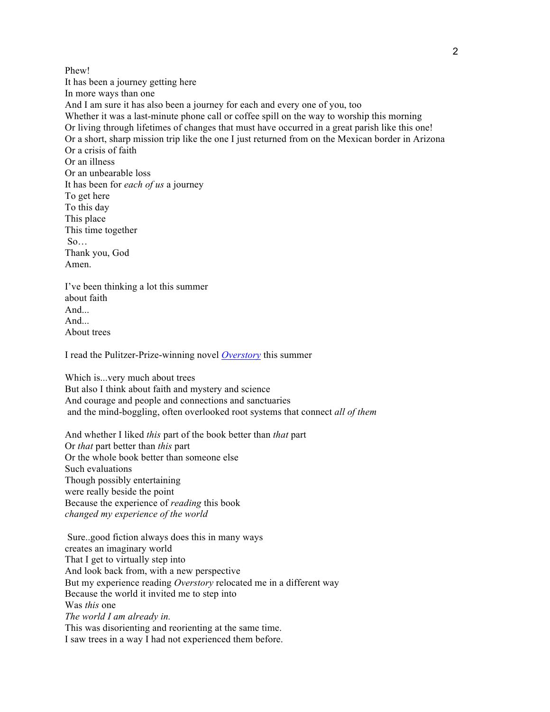Phew! It has been a journey getting here In more ways than one And I am sure it has also been a journey for each and every one of you, too Whether it was a last-minute phone call or coffee spill on the way to worship this morning Or living through lifetimes of changes that must have occurred in a great parish like this one! Or a short, sharp mission trip like the one I just returned from on the Mexican border in Arizona Or a crisis of faith Or an illness Or an unbearable loss It has been for *each of us* a journey To get here To this day This place This time together So… Thank you, God Amen. I've been thinking a lot this summer

about faith And... And... About trees

I read the Pulitzer-Prize-winning novel *Overstory* this summer

Which is...very much about trees But also I think about faith and mystery and science And courage and people and connections and sanctuaries and the mind-boggling, often overlooked root systems that connect *all of them*

And whether I liked *this* part of the book better than *that* part Or *that* part better than *this* part Or the whole book better than someone else Such evaluations Though possibly entertaining were really beside the point Because the experience of *reading* this book *changed my experience of the world*

 Sure..good fiction always does this in many ways creates an imaginary world That I get to virtually step into And look back from, with a new perspective But my experience reading *Overstory* relocated me in a different way Because the world it invited me to step into Was *this* one *The world I am already in.* This was disorienting and reorienting at the same time. I saw trees in a way I had not experienced them before.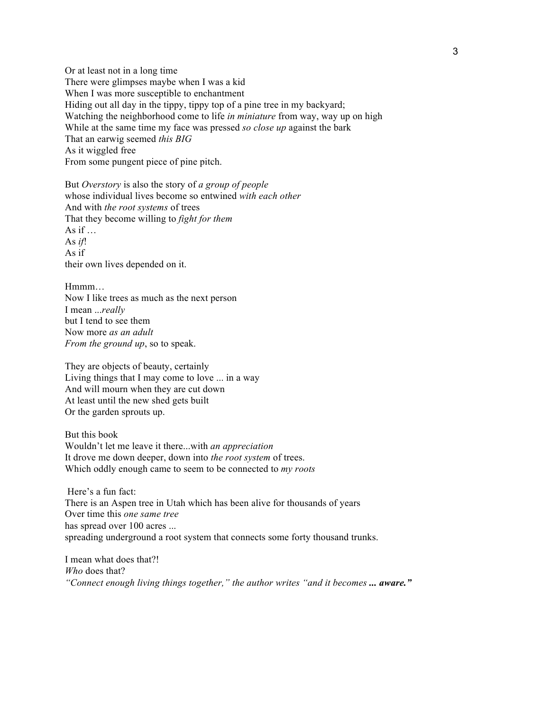Or at least not in a long time There were glimpses maybe when I was a kid When I was more susceptible to enchantment Hiding out all day in the tippy, tippy top of a pine tree in my backyard; Watching the neighborhood come to life *in miniature* from way, way up on high While at the same time my face was pressed *so close up* against the bark That an earwig seemed *this BIG* As it wiggled free From some pungent piece of pine pitch.

But *Overstory* is also the story of *a group of people* whose individual lives become so entwined *with each other* And with *the root systems* of trees That they become willing to *fight for them* As if  $\ldots$ As *if*! As if their own lives depended on it.

Hmmm… Now I like trees as much as the next person I mean ...*really* but I tend to see them Now more *as an adult From the ground up*, so to speak.

They are objects of beauty, certainly Living things that I may come to love ... in a way And will mourn when they are cut down At least until the new shed gets built Or the garden sprouts up.

But this book Wouldn't let me leave it there...with *an appreciation* It drove me down deeper, down into *the root system* of trees. Which oddly enough came to seem to be connected to *my roots*

 Here's a fun fact: There is an Aspen tree in Utah which has been alive for thousands of years Over time this *one same tree* has spread over 100 acres ... spreading underground a root system that connects some forty thousand trunks.

I mean what does that?! *Who* does that? "Connect enough living things together," the author writes "and it becomes ... aware."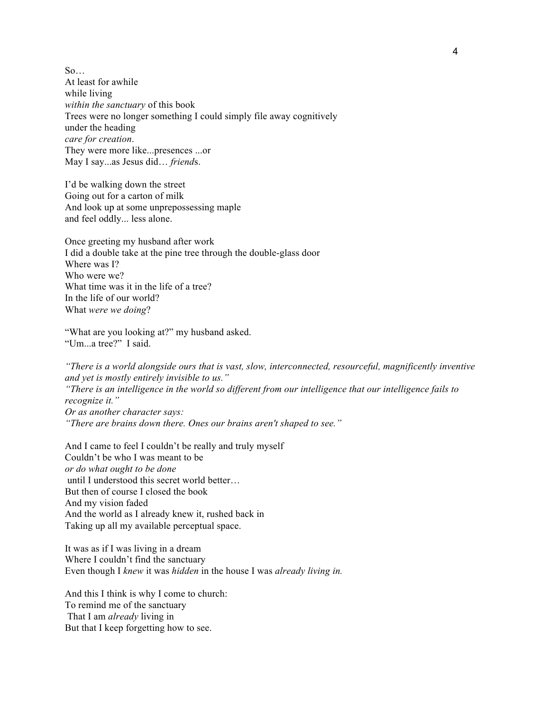$So...$ At least for awhile while living *within the sanctuary* of this book Trees were no longer something I could simply file away cognitively under the heading *care for creation*. They were more like...presences ...or May I say...as Jesus did… *friend*s.

I'd be walking down the street Going out for a carton of milk And look up at some unprepossessing maple and feel oddly... less alone.

Once greeting my husband after work I did a double take at the pine tree through the double-glass door Where was I? Who were we? What time was it in the life of a tree? In the life of our world? What *were we doing*?

"What are you looking at?" my husband asked. "Um...a tree?" I said.

*"There is a world alongside ours that is vast, slow, interconnected, resourceful, magnificently inventive and yet is mostly entirely invisible to us." "There is an intelligence in the world so different from our intelligence that our intelligence fails to recognize it." Or as another character says: "There are brains down there. Ones our brains aren't shaped to see."*

And I came to feel I couldn't be really and truly myself Couldn't be who I was meant to be *or do what ought to be done* until I understood this secret world better… But then of course I closed the book And my vision faded And the world as I already knew it, rushed back in Taking up all my available perceptual space.

It was as if I was living in a dream Where I couldn't find the sanctuary Even though I *knew* it was *hidden* in the house I was *already living in.*

And this I think is why I come to church: To remind me of the sanctuary That I am *already* living in But that I keep forgetting how to see.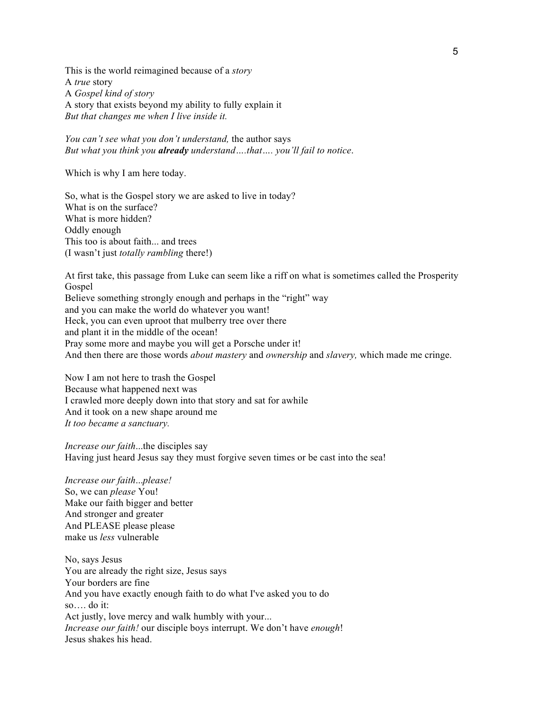This is the world reimagined because of a *story* A *true* story A *Gospel kind of story* A story that exists beyond my ability to fully explain it *But that changes me when I live inside it.*

*You can't see what you don't understand,* the author says *But what you think you already understand….that…. you'll fail to notice*.

Which is why I am here today.

So, what is the Gospel story we are asked to live in today? What is on the surface? What is more hidden? Oddly enough This too is about faith... and trees (I wasn't just *totally rambling* there!)

At first take, this passage from Luke can seem like a riff on what is sometimes called the Prosperity Gospel Believe something strongly enough and perhaps in the "right" way and you can make the world do whatever you want! Heck, you can even uproot that mulberry tree over there and plant it in the middle of the ocean! Pray some more and maybe you will get a Porsche under it! And then there are those words *about mastery* and *ownership* and *slavery,* which made me cringe.

Now I am not here to trash the Gospel Because what happened next was I crawled more deeply down into that story and sat for awhile And it took on a new shape around me *It too became a sanctuary.*

*Increase our faith*...the disciples say Having just heard Jesus say they must forgive seven times or be cast into the sea!

*Increase our faith*...*please!* So, we can *please* You! Make our faith bigger and better And stronger and greater And PLEASE please please make us *less* vulnerable

No, says Jesus You are already the right size, Jesus says Your borders are fine And you have exactly enough faith to do what I've asked you to do so…. do it: Act justly, love mercy and walk humbly with your... *Increase our faith!* our disciple boys interrupt. We don't have *enough*! Jesus shakes his head.